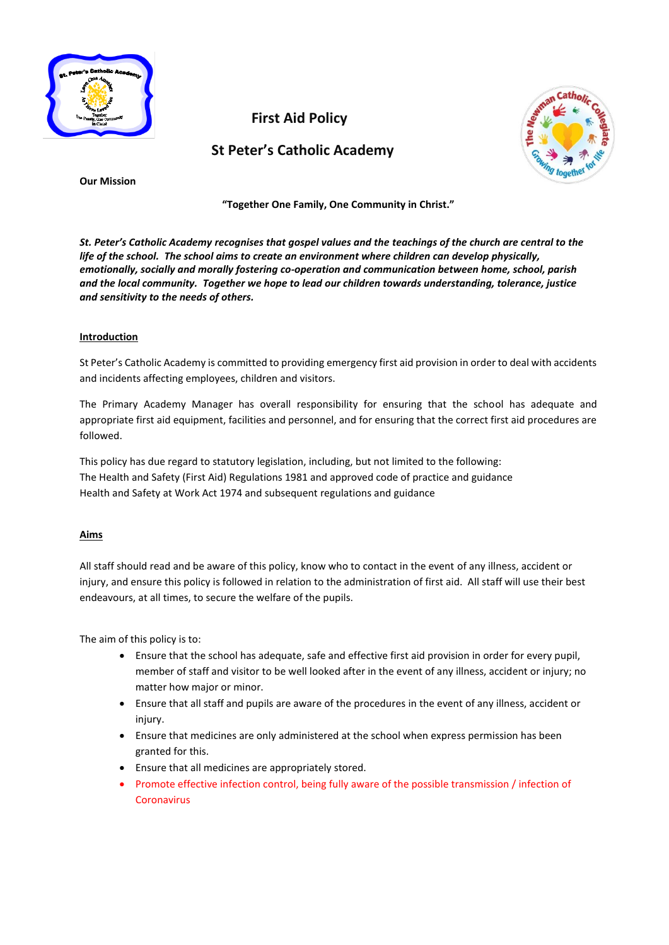

 **First Aid Policy**

 **St Peter's Catholic Academy**



**Our Mission**

**"Together One Family, One Community in Christ."**

*St. Peter's Catholic Academy recognises that gospel values and the teachings of the church are central to the life of the school. The school aims to create an environment where children can develop physically, emotionally, socially and morally fostering co-operation and communication between home, school, parish and the local community. Together we hope to lead our children towards understanding, tolerance, justice and sensitivity to the needs of others.*

# **Introduction**

St Peter's Catholic Academy is committed to providing emergency first aid provision in order to deal with accidents and incidents affecting employees, children and visitors.

The Primary Academy Manager has overall responsibility for ensuring that the school has adequate and appropriate first aid equipment, facilities and personnel, and for ensuring that the correct first aid procedures are followed.

This policy has due regard to statutory legislation, including, but not limited to the following: The Health and Safety (First Aid) Regulations 1981 and approved code of practice and guidance Health and Safety at Work Act 1974 and subsequent regulations and guidance

# **Aims**

All staff should read and be aware of this policy, know who to contact in the event of any illness, accident or injury, and ensure this policy is followed in relation to the administration of first aid. All staff will use their best endeavours, at all times, to secure the welfare of the pupils.

The aim of this policy is to:

- Ensure that the school has adequate, safe and effective first aid provision in order for every pupil, member of staff and visitor to be well looked after in the event of any illness, accident or injury; no matter how major or minor.
- Ensure that all staff and pupils are aware of the procedures in the event of any illness, accident or injury.
- Ensure that medicines are only administered at the school when express permission has been granted for this.
- Ensure that all medicines are appropriately stored.
- Promote effective infection control, being fully aware of the possible transmission / infection of **Coronavirus**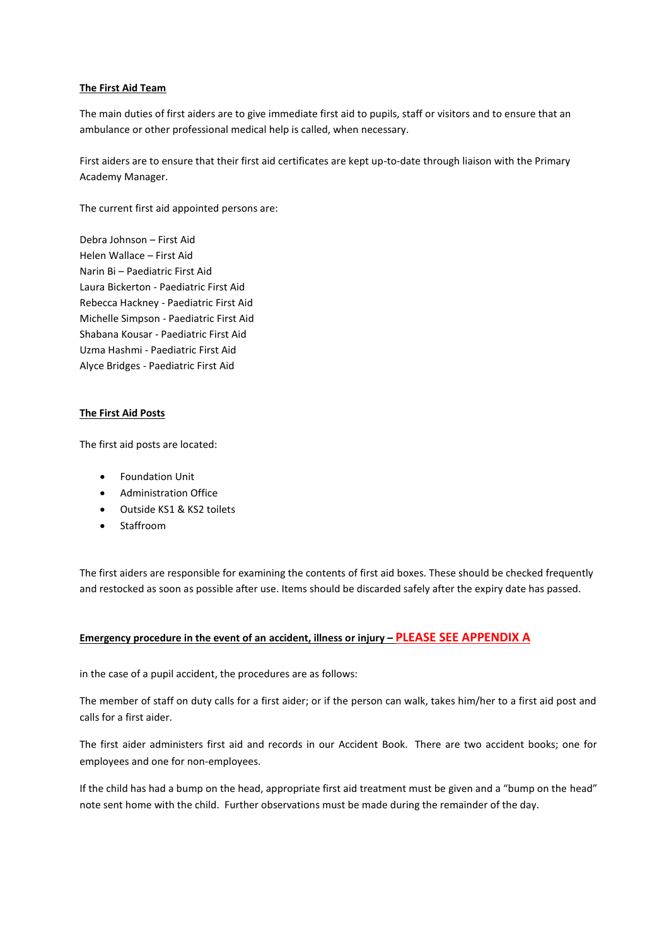## **The First Aid Team**

The main duties of first aiders are to give immediate first aid to pupils, staff or visitors and to ensure that an ambulance or other professional medical help is called, when necessary.

First aiders are to ensure that their first aid certificates are kept up-to-date through liaison with the Primary Academy Manager.

The current first aid appointed persons are:

Debra Johnson – First Aid Helen Wallace – First Aid Narin Bi – Paediatric First Aid Laura Bickerton - Paediatric First Aid Rebecca Hackney - Paediatric First Aid Michelle Simpson - Paediatric First Aid Shabana Kousar - Paediatric First Aid Uzma Hashmi - Paediatric First Aid Alyce Bridges - Paediatric First Aid

# **The First Aid Posts**

The first aid posts are located:

- Foundation Unit
- Administration Office
- Outside KS1 & KS2 toilets
- Staffroom

The first aiders are responsible for examining the contents of first aid boxes. These should be checked frequently and restocked as soon as possible after use. Items should be discarded safely after the expiry date has passed.

## **Emergency procedure in the event of an accident, illness or injury – PLEASE SEE APPENDIX A**

in the case of a pupil accident, the procedures are as follows:

The member of staff on duty calls for a first aider; or if the person can walk, takes him/her to a first aid post and calls for a first aider.

The first aider administers first aid and records in our Accident Book. There are two accident books; one for employees and one for non-employees.

If the child has had a bump on the head, appropriate first aid treatment must be given and a "bump on the head" note sent home with the child. Further observations must be made during the remainder of the day.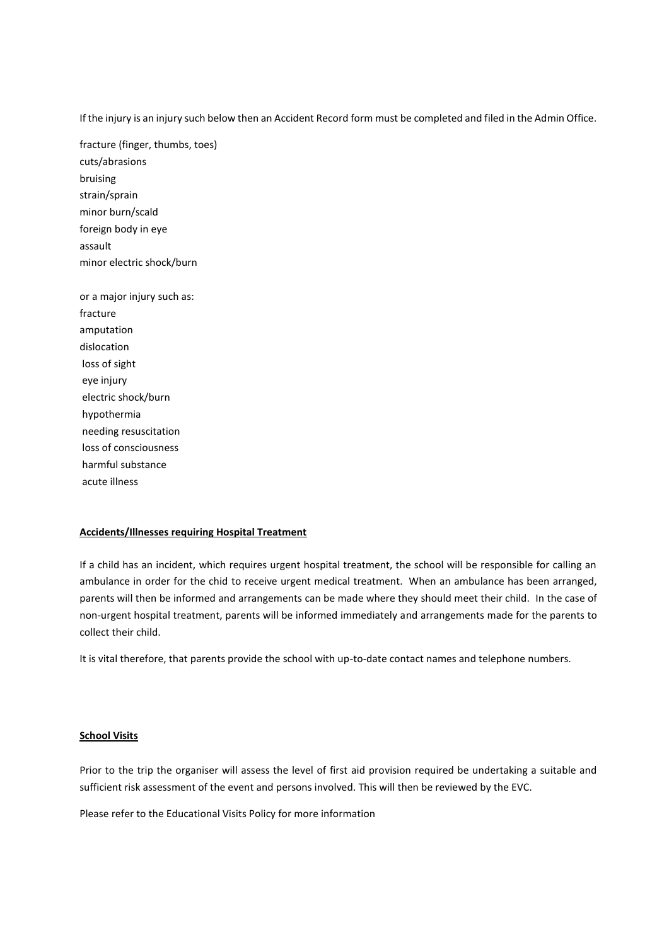If the injury is an injury such below then an Accident Record form must be completed and filed in the Admin Office.

fracture (finger, thumbs, toes) cuts/abrasions bruising strain/sprain minor burn/scald foreign body in eye assault minor electric shock/burn

or a major injury such as: fracture amputation dislocation loss of sight eye injury electric shock/burn hypothermia needing resuscitation loss of consciousness harmful substance acute illness

#### **Accidents/Illnesses requiring Hospital Treatment**

If a child has an incident, which requires urgent hospital treatment, the school will be responsible for calling an ambulance in order for the chid to receive urgent medical treatment. When an ambulance has been arranged, parents will then be informed and arrangements can be made where they should meet their child. In the case of non-urgent hospital treatment, parents will be informed immediately and arrangements made for the parents to collect their child.

It is vital therefore, that parents provide the school with up-to-date contact names and telephone numbers.

#### **School Visits**

Prior to the trip the organiser will assess the level of first aid provision required be undertaking a suitable and sufficient risk assessment of the event and persons involved. This will then be reviewed by the EVC.

Please refer to the Educational Visits Policy for more information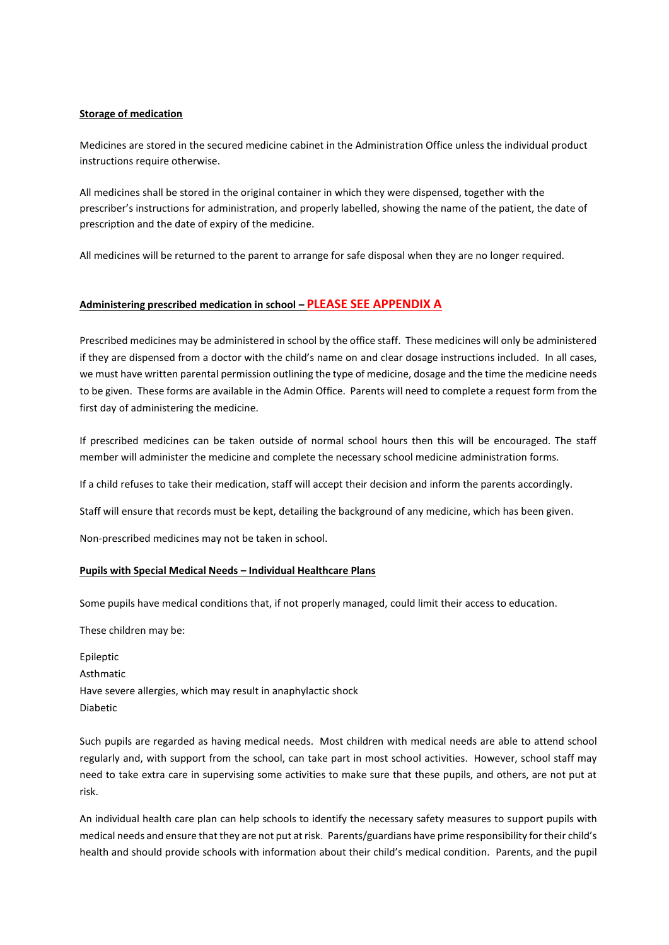### **Storage of medication**

Medicines are stored in the secured medicine cabinet in the Administration Office unless the individual product instructions require otherwise.

All medicines shall be stored in the original container in which they were dispensed, together with the prescriber's instructions for administration, and properly labelled, showing the name of the patient, the date of prescription and the date of expiry of the medicine.

All medicines will be returned to the parent to arrange for safe disposal when they are no longer required.

# **Administering prescribed medication in school – PLEASE SEE APPENDIX A**

Prescribed medicines may be administered in school by the office staff. These medicines will only be administered if they are dispensed from a doctor with the child's name on and clear dosage instructions included. In all cases, we must have written parental permission outlining the type of medicine, dosage and the time the medicine needs to be given. These forms are available in the Admin Office. Parents will need to complete a request form from the first day of administering the medicine.

If prescribed medicines can be taken outside of normal school hours then this will be encouraged. The staff member will administer the medicine and complete the necessary school medicine administration forms.

If a child refuses to take their medication, staff will accept their decision and inform the parents accordingly.

Staff will ensure that records must be kept, detailing the background of any medicine, which has been given.

Non-prescribed medicines may not be taken in school.

# **Pupils with Special Medical Needs – Individual Healthcare Plans**

Some pupils have medical conditions that, if not properly managed, could limit their access to education.

These children may be:

| Epileptic                                                     |
|---------------------------------------------------------------|
| Asthmatic                                                     |
| Have severe allergies, which may result in anaphylactic shock |
| <b>Diabetic</b>                                               |

Such pupils are regarded as having medical needs. Most children with medical needs are able to attend school regularly and, with support from the school, can take part in most school activities. However, school staff may need to take extra care in supervising some activities to make sure that these pupils, and others, are not put at risk.

An individual health care plan can help schools to identify the necessary safety measures to support pupils with medical needs and ensure that they are not put at risk. Parents/guardians have prime responsibility for their child's health and should provide schools with information about their child's medical condition. Parents, and the pupil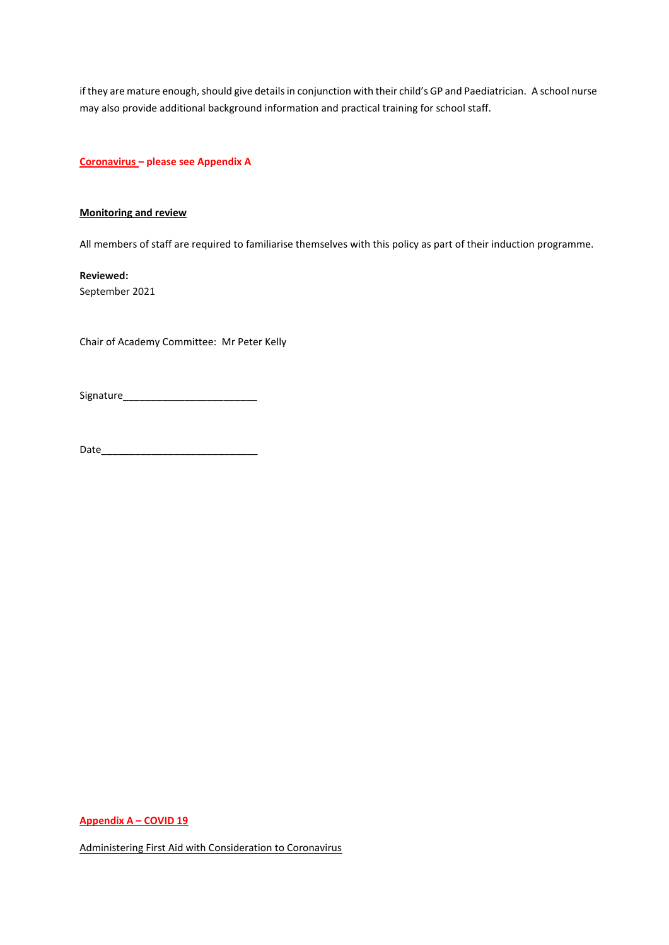if they are mature enough, should give details in conjunction with their child's GP and Paediatrician. A school nurse may also provide additional background information and practical training for school staff.

**Coronavirus – please see Appendix A**

### **Monitoring and review**

All members of staff are required to familiarise themselves with this policy as part of their induction programme.

**Reviewed:** September 2021

Chair of Academy Committee: Mr Peter Kelly

Signature\_\_\_\_\_\_\_\_\_\_\_\_\_\_\_\_\_\_\_\_\_\_\_\_

Date\_\_\_\_\_\_\_\_\_\_\_\_\_\_\_\_\_\_\_\_\_\_\_\_\_\_\_\_

**Appendix A – COVID 19**

Administering First Aid with Consideration to Coronavirus